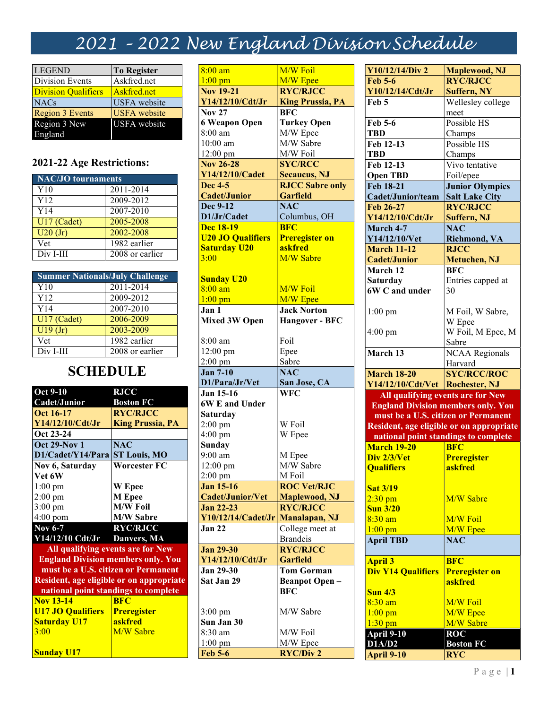## 2021 – 2022 New England Division Schedule

| <b>LEGEND</b>              | <b>To Register</b>  |
|----------------------------|---------------------|
| Division Events            | Askfred.net         |
| <b>Division Qualifiers</b> | Askfred.net         |
| <b>NACs</b>                | <b>USFA</b> website |
| <b>Region 3 Events</b>     | <b>USFA</b> website |
| Region 3 New               | <b>USFA</b> website |
| England                    |                     |

## 2021-22 Age Restrictions:

| NAC/JO tournaments |                 |  |
|--------------------|-----------------|--|
| Y10                | 2011-2014       |  |
| Y12                | 2009-2012       |  |
| Y14                | 2007-2010       |  |
| U17 (Cadet)        | 2005-2008       |  |
| U20(Jr)            | 2002-2008       |  |
| Vet                | 1982 earlier    |  |
| Div I-III          | 2008 or earlier |  |

| <b>Summer Nationals/July Challenge</b> |                 |  |
|----------------------------------------|-----------------|--|
| Y10                                    | 2011-2014       |  |
| Y12                                    | 2009-2012       |  |
| Y14                                    | 2007-2010       |  |
| U17 (Cadet)                            | 2006-2009       |  |
| $\overline{U19}$ (Jr)                  | 2003-2009       |  |
| Vet                                    | 1982 earlier    |  |
| Div I-III                              | 2008 or earlier |  |

## **SCHEDULE**

| <b>Oct 9-10</b>                           | <b>RJCC</b>             |  |
|-------------------------------------------|-------------------------|--|
| Cadet/Junior                              | <b>Boston FC</b>        |  |
| Oct 16-17                                 | <b>RYC/RJCC</b>         |  |
| Y14/12/10/Cdt/Jr                          | <b>King Prussia, PA</b> |  |
| Oct 23-24                                 |                         |  |
| <b>Oct 29-Nov 1</b>                       | <b>NAC</b>              |  |
| D1/Cadet/Y14/Para                         | <b>ST Louis, MO</b>     |  |
| Nov 6, Saturday                           | Worcester FC            |  |
| Vet 6W                                    |                         |  |
| $1:00$ pm                                 | <b>W</b> Epee           |  |
| $2:00$ pm                                 | M Epee                  |  |
| $3:00 \text{ pm}$                         | <b>M/W Foil</b>         |  |
| $4:00$ pom                                | <b>M/W Sabre</b>        |  |
| <b>Nov 6-7</b>                            | <b>RYC/RJCC</b>         |  |
| Y14/12/10 Cdt/Jr Danvers, MA              |                         |  |
| All qualifying events are for New         |                         |  |
| <b>England Division members only. You</b> |                         |  |
| must be a U.S. citizen or Permanent       |                         |  |
| Resident, age eligible or on appropriate  |                         |  |
| national point standings to complete      |                         |  |
| <b>Nov 13-14</b>                          | <b>BFC</b>              |  |
| <b>U17 JO Qualifiers</b>                  | <b>Preregister</b>      |  |
| <b>Saturday U17</b>                       | askfred                 |  |
| 3:00                                      | <b>M/W Sabre</b>        |  |

Sunday U17

8:00 am  $1:00 \text{ pm}$ M/W Foil M/W Epee Nov 19-21 Y14/12/10/Cdt/Jr RYC/RJCC King Prussia, PA Nov 27 6 Weapon Open 8:00 am 10:00 am 12:00 pm **BFC** Turkey Open M/W Epee M/W Sabre M/W Foil Nov 26-28 Y14/12/10/Cadet SYC/RCC Secaucus, NJ Dec 4-5 Cadet/Junior RJCC Sabre only **Garfield** Dec 9-12 D1/Jr/Cadet N<sub>AC</sub> Columbus, OH Dec 18-19 U20 JO Qualifiers Saturday U20 3:00 Sunday U20 8:00 am 1:00 pm **BFC** Preregister on askfred M/W Sabre M/W Foil M/W Epee Jan 1 Mixed 3W Open 8:00 am 12:00 pm 2:00 pm Jack Norton Hangover - BFC Foil Epee Sabre Jan 7-10 D1/Para/Jr/Vet NAC<sup>1</sup> San Jose, CA Jan 15-16 6W E and Under Saturday 2:00 pm 4:00 pm Sunday 9:00 am 12:00 pm 2:00 pm **WFC** W Foil W Epee M Epee M/W Sabre M Foil Jan 15-16 Cadet/Junior/Vet ROC Vet/RJC Maplewood, NJ Jan 22-23 Y10/12/14/Cadet/Jr Manalapan, NJ RYC/RJCC **Jan 22** College meet at Brandeis Jan 29-30 Y14/12/10/Cdt/Jr RYC/RJCC Garfield Jan 29-30 Sat Jan 29 3:00 pm Sun Jan 30 8:30 am 1:00 pm Tom Gorman Beanpot Open – **BFC** M/W Sabre M/W Foil M/W Epee Feb 5-6 RYC/Div 2

| Y10/12/14/Div 2                           | <b>Maplewood, NJ</b>                     |
|-------------------------------------------|------------------------------------------|
| <b>Feb 5-6</b>                            | <b>RYC/RJCC</b>                          |
| Y10/12/14/Cdt/Jr                          | <b>Suffern, NY</b>                       |
| Feb 5                                     | Wellesley college                        |
|                                           | meet                                     |
| Feb 5-6                                   | Possible HS                              |
| TBD                                       | Champs                                   |
| Feb 12-13                                 | Possible HS                              |
| <b>TBD</b>                                | Champs                                   |
| Feb 12-13                                 | Vivo tentative                           |
| <b>Open TBD</b>                           | Foil/epee                                |
| <b>Feb 18-21</b>                          | <b>Junior Olympics</b>                   |
| Cadet/Junior/team                         | <b>Salt Lake City</b>                    |
| Feb 26-27                                 | <b>RYC/RJCC</b>                          |
| Y14/12/10/Cdt/Jr                          | Suffern, NJ                              |
| March 4-7                                 | <b>NAC</b>                               |
| Y14/12/10/Vet                             | <b>Richmond, VA</b>                      |
| <b>March 11-12</b>                        | <b>RJCC</b>                              |
| <b>Cadet/Junior</b>                       | Metuchen, NJ                             |
| March 12                                  | <b>BFC</b>                               |
| <b>Saturday</b>                           | Entries capped at                        |
| 6W C and under                            | 30                                       |
|                                           |                                          |
| $1:00$ pm                                 | M Foil, W Sabre,                         |
|                                           | W Epee                                   |
| $4:00$ pm                                 | W Foil, M Epee, M                        |
|                                           | Sabre                                    |
| March 13                                  | <b>NCAA Regionals</b>                    |
|                                           |                                          |
|                                           |                                          |
|                                           | Harvard                                  |
| <b>March 18-20</b>                        | <b>SYC/RCC/ROC</b>                       |
| Y14/12/10/Cdt/Vet Rochester, NJ           |                                          |
| All qualifying events are for New         |                                          |
| <b>England Division members only. You</b> |                                          |
|                                           | must be a U.S. citizen or Permanent      |
|                                           | Resident, age eligible or on appropriate |
| national point standings to complete      |                                          |
| <b>March 19-20</b>                        | <b>BFC</b>                               |
| Div 2/3/Vet                               | <b>Preregister</b>                       |
| <b>Oualifiers</b>                         | askfred                                  |
|                                           |                                          |
| <b>Sat 3/19</b>                           |                                          |
| $2:30$ pm                                 | M/W Sabre                                |
| <b>Sun 3/20</b>                           |                                          |
| $8:30$ am                                 | M/W Foil                                 |
| $1:00$ pm                                 | M/W Epee                                 |
| <b>April TBD</b>                          | <b>NAC</b>                               |
|                                           |                                          |
| <b>April 3</b>                            | <b>BFC</b>                               |
| <b>Div Y14 Qualifiers</b>                 | <b>Preregister on</b>                    |
|                                           | askfred                                  |
| $Sun$ $4/3$                               |                                          |
| $8:30$ am                                 | M/W Foil                                 |
| $1:00$ pm                                 | M/W Epee                                 |
| $1:30$ pm                                 | M/W Sabre                                |
| April 9-10                                | <b>ROC</b>                               |
| <b>D1A/D2</b><br><b>April 9-10</b>        | <b>Boston FC</b><br><b>RYC</b>           |